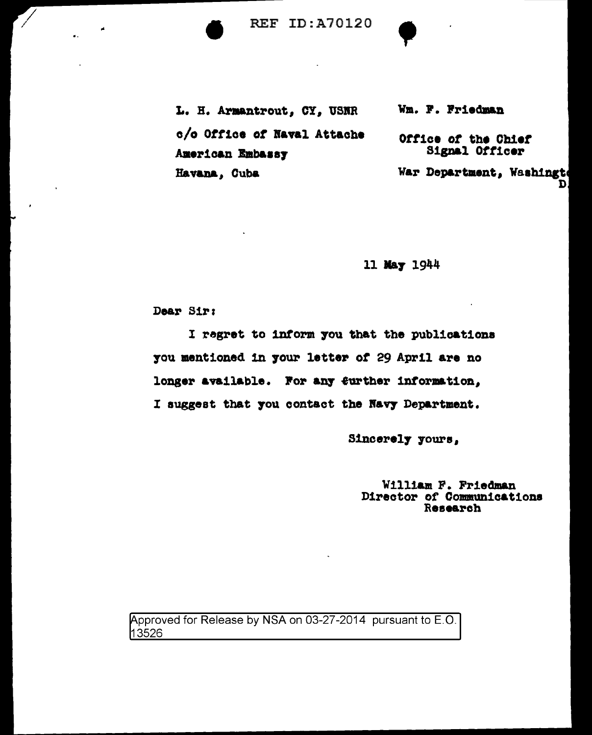**REF ID:A70120** 

L. H. Armantrout, CY, USNR c/o Office of Naval Attache American Embassy Havana, Cuba

Wm. F. Friedman

Office of the Chief Signal Officer

War Department, Washingt D.

11 May 1944

Dear Sir:

I regret to inform you that the publications you mentioned in your letter of 29 April are no longer available. For any further information, I suggest that you contact the Navy Department.

Sincerely yours,

William F. Friedman<br>Director of Communications Research

Approved for Release by NSA on 03-27-2014 pursuant to E.O. 13526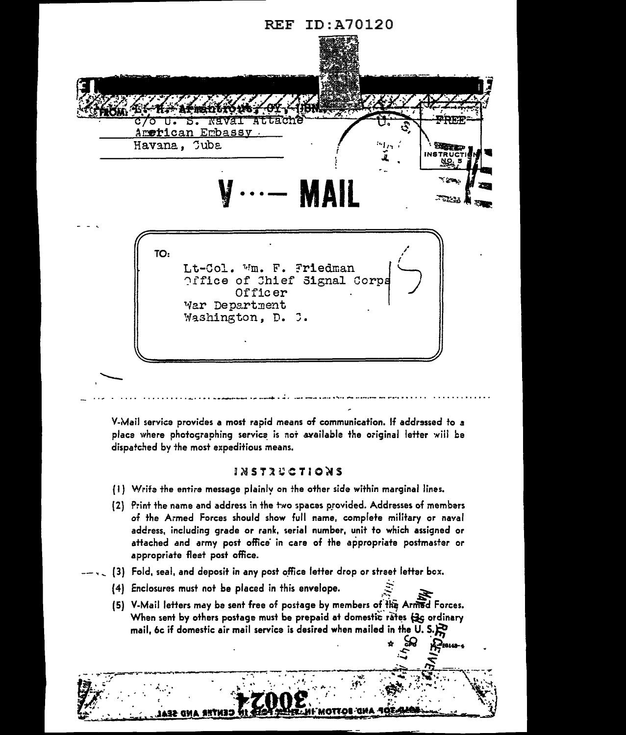

V-Mail service provides a most rapid means of communication. If addressed to a place where photographing service is not available the original letter will be dispatched by the most expeditious means.

## *INSTRUCTIONS*

- (1) Write the entire message plainly on the other side within marginal lines.
- [2] Print the name and address in the two spaces provided. Addresses of members of the Armed Forces should show full name, complete military or naval address, including grade or rank, serial number, unit to which assigned or attached and army post office in care of the appropriate postmaster or appropriate fleet post office.
- $-\sqrt{2}$  (3) Fold, seal, and deposit in any post office letter drop or street letter box.
	- (4) Enclosures must not be placed in this envelope.
	- (5) V-Mail letters may be sent free of postage by members of the Armed Forces. When sent by others postage must be prepaid at domestic rates (3G ordinary mail, 6c if domestic air mail service is desired when mailed in the U.S. $\mathbb{R}$

**AND BOTTOM** 

A-Pestas-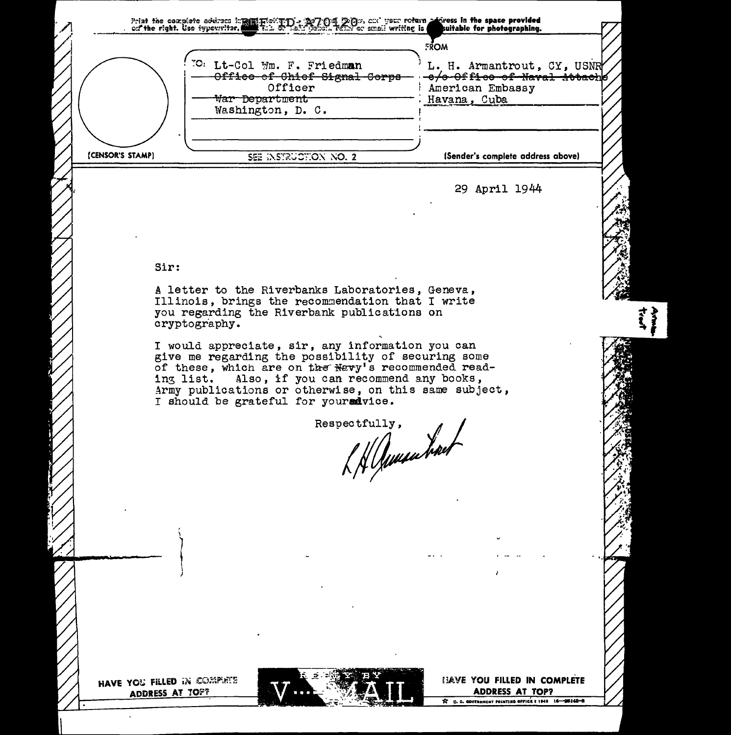Print the complete address implifing to imply the poly poly, and your roturn polyness in the space provided<br>on the right. Use typewriter, with the state policies, rank or small writing is suitable for photographing. suitable for photographing. FROM <sup>"C:</sup> Lt-Col Wm. F. Friedm**an** <sup>1</sup> L. H. Armantrout, CY, USNR<sup>/</sup><br>-- Office-of-Chiof-Signal-Corps---e/e-Office-of-Naval-Attache-<br>Officer : American Embassy American Embassy<br>Havana, Cuba  $~\forall$ ar Department Washington, D. C. ----------~--~--------------------- ' [., \_\_\_\_\_\_\_\_\_\_\_\_\_\_\_\_\_\_\_\_\_\_\_\_\_\_ \_\_\_ (CENSOR'S STAMP) SEE INSTRUCTION NO. 2 (Sender's complete address above) 29 April 1944 Sir: A letter to the Riverbanks Laboratories, Geneva, Illinois, brings the recommendation that I write you regarding the Riverbank publications on cryptogr'aphy. I would appreciate, sir, any information you can give me regarding the possibility of securing some of these, which are on the Navy's recommended reading list. Also, if you can recommend any books, Army publications or otherwise, on this same subject, I should be grateful for youradvice. spectfully, Respectfully, ' \  $\big)$ t i ) HAVE YOU FILLED IN COMPIETS **IJAVE YOU FILLED IN COMPLETE** ADDRESS AT TOP? **ADDRESS AT TOP?** 2 C. S. GOVERNMENT PRINTING OFFICE # 1843 16-98148-5